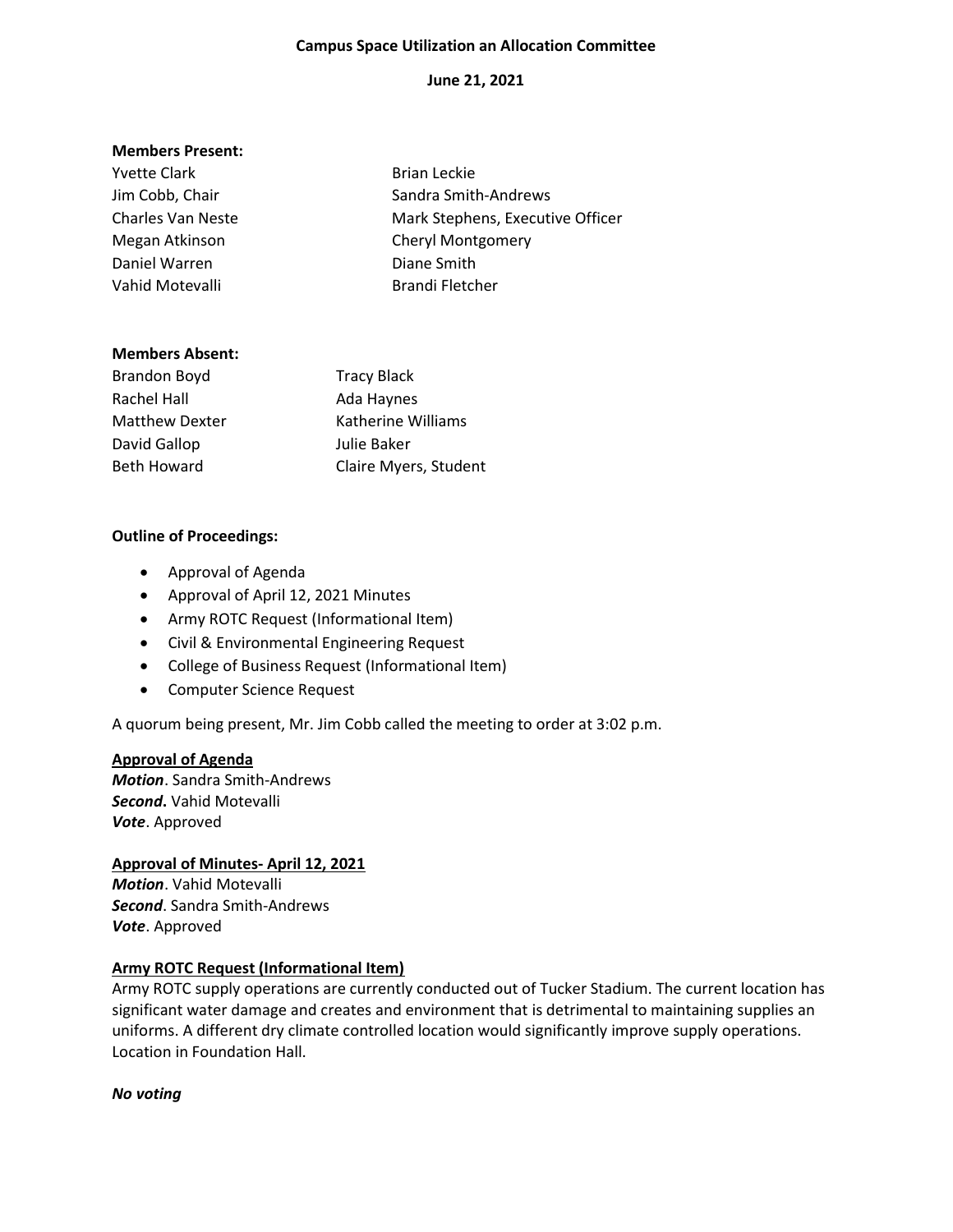#### Campus Space Utilization an Allocation Committee

## June 21, 2021

#### Members Present:

| <b>Brian Leckie</b>              |
|----------------------------------|
| Sandra Smith-Andrews             |
| Mark Stephens, Executive Officer |
| <b>Cheryl Montgomery</b>         |
| Diane Smith                      |
| <b>Brandi Fletcher</b>           |
|                                  |

#### Members Absent:

| Brandon Boyd          | <b>Tracy Black</b>    |
|-----------------------|-----------------------|
| Rachel Hall           | Ada Haynes            |
| <b>Matthew Dexter</b> | Katherine Williams    |
| David Gallop          | Julie Baker           |
| <b>Beth Howard</b>    | Claire Myers, Student |

#### Outline of Proceedings:

- Approval of Agenda
- Approval of April 12, 2021 Minutes
- Army ROTC Request (Informational Item)
- Civil & Environmental Engineering Request
- College of Business Request (Informational Item)
- Computer Science Request

A quorum being present, Mr. Jim Cobb called the meeting to order at 3:02 p.m.

#### Approval of Agenda

Motion. Sandra Smith-Andrews Second. Vahid Motevalli Vote. Approved

Approval of Minutes- April 12, 2021 Motion. Vahid Motevalli Second. Sandra Smith-Andrews Vote. Approved

## Army ROTC Request (Informational Item)

Army ROTC supply operations are currently conducted out of Tucker Stadium. The current location has significant water damage and creates and environment that is detrimental to maintaining supplies an uniforms. A different dry climate controlled location would significantly improve supply operations. Location in Foundation Hall.

No voting